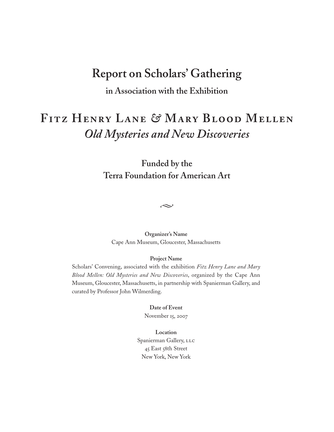# **Report on Scholars' Gathering**

**in Association with the Exhibition**

# **Fitz Henry Lane** *&* **Mary Blood Mellen** *Old Mysteries and New Discoveries*

**Funded by the Terra Foundation for American Art**

 $\rightsquigarrow$ 

**Organizer's Name** Cape Ann Museum, Gloucester, Massachusetts

#### **Project Name**

Scholars' Convening, associated with the exhibition *Fitz Henry Lane and Mary Blood Mellen: Old Mysteries and New Discoveries*, organized by the Cape Ann Museum, Gloucester, Massachusetts, in partnership with Spanierman Gallery, and curated by Professor John Wilmerding.

**Date of Event**

November 15, 2007

**Location** Spanierman Gallery, LLC 45 East 58th Street New York, New York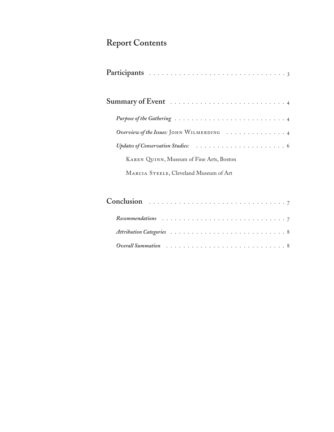# **Report Contents**

| Overview of the Issues: JOHN WILMERDING 4 |  |  |  |
|-------------------------------------------|--|--|--|
|                                           |  |  |  |
| KAREN QUINN, Museum of Fine Arts, Boston  |  |  |  |
| MARCIA STEELE, Cleveland Museum of Art    |  |  |  |

| Conclusion $\ldots \ldots \ldots \ldots \ldots \ldots \ldots \ldots \ldots \ldots \ldots$                      |  |  |  |  |  |  |  |  |  |  |  |  |  |  |
|----------------------------------------------------------------------------------------------------------------|--|--|--|--|--|--|--|--|--|--|--|--|--|--|
|                                                                                                                |  |  |  |  |  |  |  |  |  |  |  |  |  |  |
|                                                                                                                |  |  |  |  |  |  |  |  |  |  |  |  |  |  |
| Overall Summation contains the service of the service of the service of the Surface of Surface of Surface of S |  |  |  |  |  |  |  |  |  |  |  |  |  |  |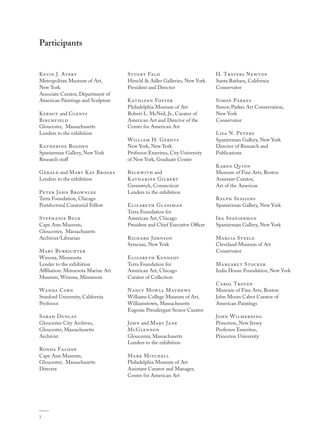## **Participants**

Kevin J. Avery Metropolitan Museum of Art, New York Associate Curator, Department of American Paintings and Sculpture

Kermit and Glenys **BIRCHFIELD** Gloucester, Massachusetts Lenders to the exhibition

KATHERINE BOGDEN Spanierman Gallery, New York Research staff

Gerald and Mary Kay Brooks Lenders to the exhibition

PETER JOHN BROWNLEE Terra Foundation, Chicago Postdoctoral Curatorial Fellow

Stephanie Buck Cape Ann Museum, Gloucester, Massachusetts Archivist/Librarian

MARY BURRICHTER Winona, Minnesota Lender to the exhibition Affiliation: Minnesota Marine Art Museum, Winona, Minnesota

WANDA CORN Stanford University, California Professor

Sarah Dunlap Gloucester City Archives, Gloucester, Massachusetts Archivist

Ronda Faloon Cape Ann Museum, Gloucester, Massachusetts **Director** 

STUART FELD Hirschl & Adler Galleries, New York President and Director

Kathleen Foster Philadelphia Museum of Art Robert L. McNeil, Jr., Curator of American Art and Director of the Center for American Art

WILLIAM H. GERDTS New York, New York Professor Emeritus, City University of New York, Graduate Center

BECKWITH and Katharine Gilbert Greenwich, Connecticut Lenders to the exhibition

ELIZABETH GLASSMAN Terra Foundation for American Art, Chicago President and Chief Executive Officer

RICHARD JOHNSON Syracuse, New York

Elizabeth Kennedy Terra Foundation for American Art, Chicago Curator of Collection

Nancy Mowll Mathews Williams College Museum of Art, Williamstown, Massachusetts Eugenie Prendergast Senior Curator

JOHN and MARY JANE **McGLENNON** Gloucester, Massachusetts Lenders to the exhibition

MARK MITCHELL Philadelphia Museum of Art Assistant Curator and Manager, Center for American Art

H. Travers Newton Santa Barbara, California Conservator

Simon Parkes Simon Parkes Art Conservation, New York Conservator

Lisa N. Peters Spanierman Gallery, New York Director of Research and Publications

Karen Quinn Museum of Fine Arts, Boston Assistant Curator, Art of the Americas

Ralph Sessions Spanierman Gallery, New York

Ira Spanierman Spanierman Gallery, New York

MARCIA STEELE Cleveland Museum of Art Conservator

Margaret Stocker India House Foundation, New York

Carol Troyen Museum of Fine Arts, Boston John Moors Cabot Curator of American Paintings

John Wilmerding Princeton, New Jersey Professor Emeritus, Princeton University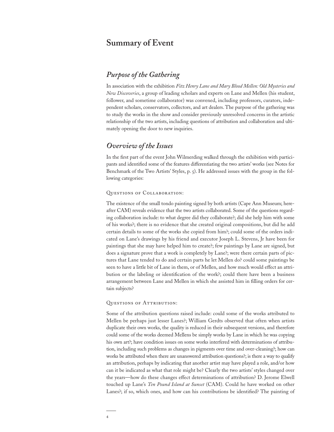# **Summary of Event**

## *Purpose of the Gathering*

In association with the exhibition *Fitz Henry Lane and Mary Blood Mellen: Old Mysteries and New Discoveries*, a group of leading scholars and experts on Lane and Mellen (his student, follower, and sometime collaborator) was convened, including professors, curators, independent scholars, conservators, collectors, and art dealers. The purpose of the gathering was to study the works in the show and consider previously unresolved concerns in the artistic relationship of the two artists, including questions of attribution and collaboration and ultimately opening the door to new inquiries.

## *Overview of the Issues*

In the first part of the event John Wilmerding walked through the exhibition with participants and identified some of the features differentiating the two artists' works (see Notes for Benchmark of the Two Artists' Styles, p. 5). He addressed issues with the group in the following categories:

#### Questions of Collaboration:

The existence of the small tondo painting signed by both artists (Cape Ann Museum; hereafter CAM) reveals evidence that the two artists collaborated. Some of the questions regarding collaboration include: to what degree did they collaborate?; did she help him with some of his works?; there is no evidence that she created original compositions, but did he add certain details to some of the works she copied from him?; could some of the orders indicated on Lane's drawings by his friend and executor Joseph L. Stevens, Jr have been for paintings that she may have helped him to create?; few paintings by Lane are signed, but does a signature prove that a work is completely by Lane?; were there certain parts of pictures that Lane tended to do and certain parts he let Mellen do? could some paintings be seen to have a little bit of Lane in them, or of Mellen, and how much would effect an attribution or the labeling or identification of the work?; could there have been a business arrangement between Lane and Mellen in which she assisted him in filling orders for certain subjects?

#### QUESTIONS OF ATTRIBUTION:

Some of the attribution questions raised include: could some of the works attributed to Mellen be perhaps just lesser Lanes?; William Gerdts observed that often when artists duplicate their own works, the quality is reduced in their subsequent versions, and therefore could some of the works deemed Mellens be simply works by Lane in which he was copying his own art?; have condition issues on some works interfered with determinations of attribution, including such problems as changes in pigments over time and over-cleaning?; how can works be attributed when there are unanswered attribution questions?; is there a way to qualify an attribution, perhaps by indicating that another artist may have played a role, and/or how can it be indicated as what that role might be? Clearly the two artists' styles changed over the years—how do these changes effect determinations of attribution? D. Jerome Elwell touched up Lane's *Ten Pound Island at Sunset* (CAM). Could he have worked on other Lanes?; if so, which ones, and how can his contributions be identified? The painting of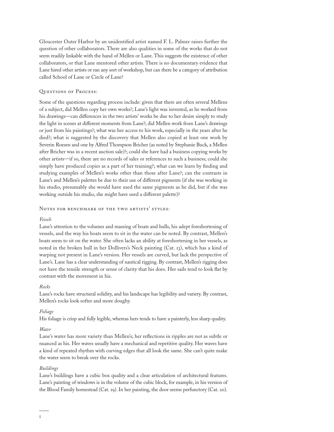Gloucester Outer Harbor by an unidentified artist named F. L. Palmer raises further the question of other collaborators. There are also qualities in some of the works that do not seem readily linkable with the hand of Mellen or Lane. This suggests the existence of other collaborators, or that Lane mentored other artists. There is no documentary evidence that Lane hired other artists or ran any sort of workshop, but can there be a category of attribution called School of Lane or Circle of Lane?

#### Questions of Process:

Some of the questions regarding process include: given that there are often several Mellens of a subject, did Mellen copy her own works?; Lane's light was invented, as he worked from his drawings—can differences in the two artists' works be due to her desire simply to study the light in scenes at different moments from Lane?; did Mellen work from Lane's drawings or just from his paintings?; what was her access to his work, especially in the years after he died?; what is suggested by the discovery that Mellen also copied at least one work by Severin Roesen and one by Alfred Thompson Bricher (as noted by Stephanie Buck, a Mellen after Bricher was in a recent auction sale)?; could she have had a business copying works by other artists—if so, there are no records of sales or references to such a business; could she simply have produced copies as a part of her training?; what can we learn by finding and studying examples of Mellen's works other than those after Lane?; can the contrasts in Lane's and Mellen's palettes be due to their use of different pigments (if she was working in his studio, presumably she would have used the same pigments as he did, but if she was working outside his studio, she might have used a different palette)?

#### NOTES FOR BENCHMARK OF THE TWO ARTISTS' STYLES:

#### *Vessels*

Lane's attention to the volumes and massing of boats and hulls, his adept foreshortening of vessels, and the way his boats seem to sit in the water can be noted. By contrast, Mellen's boats seem to sit on the water. She often lacks an ability at foreshortening in her vessels, as noted in the broken hull in her Dollivers's Neck painting (Cat. 13), which has a kind of warping not present in Lane's version. Her vessels are curved, but lack the perspective of Lane's. Lane has a clear understanding of nautical rigging. By contrast, Mellen's rigging does not have the tensile strength or sense of clarity that his does. Her sails tend to look flat by contrast with the movement in his.

#### *Rocks*

Lane's rocks have structural solidity, and his landscape has legibility and variety. By contrast, Mellen's rocks look softer and more doughy.

#### *Foliage*

His foliage is crisp and fully legible, whereas hers tends to have a painterly, less sharp quality.

#### *Water*

Lane's water has more variety than Mellen's; her reflections in ripples are not as subtle or nuanced as his. Her waves usually have a mechanical and repetitive quality. Her waves have a kind of repeated rhythm with curving edges that all look the same. She can't quite make the water seem to break over the rocks.

#### *Buildings*

Lane's buildings have a cubic box quality and a clear articulation of architectural features. Lane's painting of windows is in the volume of the cubic block, for example, in his version of the Blood Family homestead (Cat. 19). In her painting, the door seems perfunctory (Cat. 20).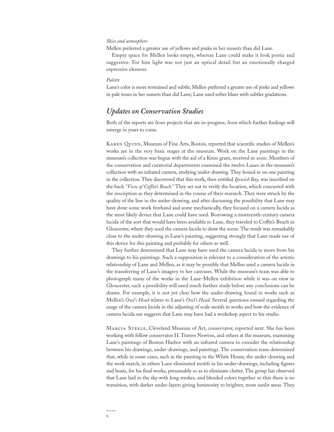#### *Skies and atmosphere*

Mellen preferred a greater use of yellows and pinks in her sunsets than did Lane.

Empty space for Mellen looks empty, whereas Lane could make it look poetic and suggestive. For him light was not just an optical detail but an emotionally charged expressive element.

#### *Palette*

Lane's color is more restrained and subtle; Mellen preferred a greater use of pinks and yellows in pale tones in her sunsets than did Lane; Lane used softer blues with subtler gradations.

### *Updates on Conservation Studies*

Both of the reports are from projects that are in-progress, from which further findings will emerge in years to come.

Karen Quinn, Museum of Fine Arts, Boston, reported that scientific studies of Mellen's works are in the very basic stages at the museum. Work on the Lane paintings in the museum's collection was begun with the aid of a Kress grant, received in 2000. Members of the conservation and curatorial departments examined the twelve Lanes in the museum's collection with an infrared camera, studying under-drawing. They honed in on one painting in the collection. They discovered that this work, then entitled *Ipswich Bay*, was inscribed on the back *"View of Coffin's Beach*.*"* They set out to verify the location, which concurred with the inscription as they determined in the course of their research. They were struck by the quality of the line in the under-drawing, and after discussing the possibility that Lane may have done some work freehand and some mechanically, they focused on a camera lucida as the most likely device that Lane could have used. Borrowing a nineteenth-century camera lucida of the sort that would have been available to Lane, they traveled to Coffin's Beach in Gloucester, where they used the camera lucida to draw the scene. The result was remarkably close to the under-drawing in Lane's painting, suggesting strongly that Lane made use of this device for this painting and probably for others as well.

They further determined that Lane may have used the camera lucida to move from his drawings to his paintings. Such a supposition is relevant to a consideration of the artistic relationship of Lane and Mellen, as it may be possible that Mellen used a camera lucida in the transferring of Lane's imagery to her canvases. While the museum's team was able to photograph many of the works in the Lane-Mellen exhibition while it was on view in Gloucester, such a possibility will need much further study before any conclusions can be drawn. For example, it is not yet clear how the under-drawing found in works such as Mellen's *Owl's Head* relates to Lane's *Owl's Head*. Several questions ensued regarding the usage of the camera lucida in the adjusting of scale motifs in works and how the evidence of camera lucida use suggests that Lane may have had a workshop aspect to his studio.

Marcia Steele, Cleveland Museum of Art, conservator, reported next. She has been working with fellow conservator H. Travers Newton, and others at the museum, examining Lane's paintings of Boston Harbor with an infrared camera to consider the relationship between his drawings, under-drawings, and paintings. The conservation team determined that, while in some cases, such as the painting in the White House, the under-drawing and the work match, in others Lane eliminated motifs in his under-drawings, including figures and boats, for his final works, presumably so as to eliminate clutter. The group has observed that Lane laid in the sky with long strokes, and blended colors together so that there is no transition, with darker under-layers giving luminosity to brighter, more sunlit areas. They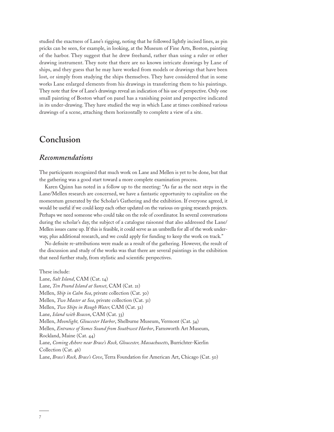studied the exactness of Lane's rigging, noting that he followed lightly incised lines, as pin pricks can be seen, for example, in looking, at the Museum of Fine Arts, Boston, painting of the harbor. They suggest that he drew freehand, rather than using a ruler or other drawing instrument. They note that there are no known intricate drawings by Lane of ships, and they guess that he may have worked from models or drawings that have been lost, or simply from studying the ships themselves. They have considered that in some works Lane enlarged elements from his drawings in transferring them to his paintings. They note that few of Lane's drawings reveal an indication of his use of perspective. Only one small painting of Boston wharf on panel has a vanishing point and perspective indicated in its under-drawing. They have studied the way in which Lane at times combined various drawings of a scene, attaching them horizontally to complete a view of a site.

## **Conclusion**

### *Recommendations*

The participants recognized that much work on Lane and Mellen is yet to be done, but that the gathering was a good start toward a more complete examination process.

Karen Quinn has noted in a follow up to the meeting: "As far as the next steps in the Lane/Mellen research are concerned, we have a fantastic opportunity to capitalize on the momentum generated by the Scholar's Gathering and the exhibition. If everyone agreed, it would be useful if we could keep each other updated on the various on-going research projects. Perhaps we need someone who could take on the role of coordinator. In several conversations during the scholar's day, the subject of a catalogue raisonné that also addressed the Lane/ Mellen issues came up. If this is feasible, it could serve as an umbrella for all of the work underway, plus additional research, and we could apply for funding to keep the work on track."

No definite re-attributions were made as a result of the gathering. However, the result of the discussion and study of the works was that there are several paintings in the exhibition that need further study, from stylistic and scientific perspectives.

These include:

Lane, *Salt Island*, CAM (Cat. 14) Lane, *Ten Pound Island at Sunset*, CAM (Cat. 21) Mellen, *Ship in Calm Sea*, private collection (Cat. 30) Mellen, *Two Master at Sea*, private collection (Cat. 31) Mellen, *Two Ships in Rough Water,* CAM (Cat. 32) Lane, *Island with Beacon*, CAM (Cat. 33) Mellen, *Moonlight, Gloucester Harbor*, Shelburne Museum, Vermont (Cat. 34) Mellen, *Entrance of Somes Sound from Southwest Harbor*, Farnsworth Art Museum, Rockland, Maine (Cat. 44) Lane, *Coming Ashore near Brace's Rock, Gloucester, Massachusetts*, Burrichter-Kierlin Collection (Cat. 46) Lane, *Brace's Rock, Brace's Cove*, Terra Foundation for American Art, Chicago (Cat. 50)